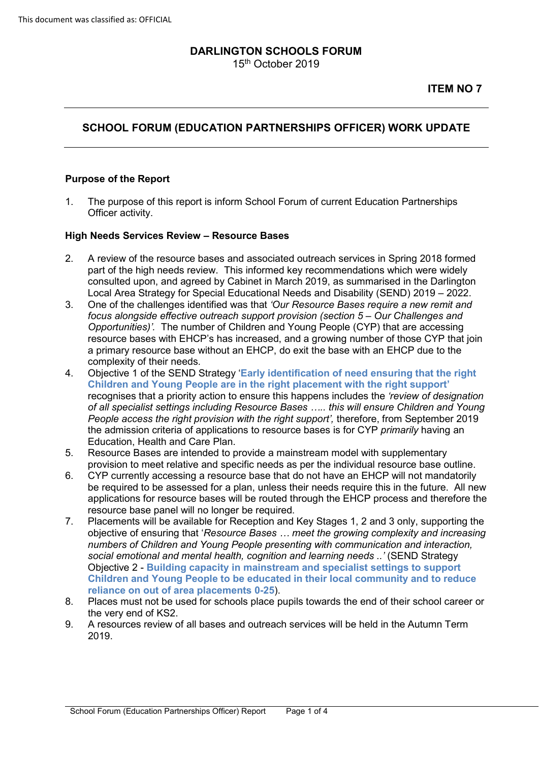# 15th October 2019 **DARLINGTON SCHOOLS FORUM**

# **SCHOOL FORUM (EDUCATION PARTNERSHIPS OFFICER) WORK UPDATE**

### **Purpose of the Report**

1. The purpose of this report is inform School Forum of current Education Partnerships Officer activity.

#### **High Needs Services Review – Resource Bases**

- Local Area Strategy for Special Educational Needs and Disability (SEND) 2019 2022. 2. A review of the resource bases and associated outreach services in Spring 2018 formed part of the high needs review. This informed key recommendations which were widely consulted upon, and agreed by Cabinet in March 2019, as summarised in the Darlington
- 3. One of the challenges identified was that *'Our Resource Bases require a new remit and Opportunities)'.* The number of Children and Young People (CYP) that are accessing resource bases with EHCP's has increased, and a growing number of those CYP that join a primary resource base without an EHCP, do exit the base with an EHCP due to the *focus alongside effective outreach support provision (section 5 – Our Challenges and*  complexity of their needs.
- 4. Objective 1 of the SEND Strategy '**Early identification of need ensuring that the right Children and Young People are in the right placement with the right support'**  the admission criteria of applications to resource bases is for CYP *primarily* having an recognises that a priority action to ensure this happens includes the *'review of designation of all specialist settings including Resource Bases ….. this will ensure Children and Young People access the right provision with the right support',* therefore, from September 2019 Education, Health and Care Plan.
- 5. Resource Bases are intended to provide a mainstream model with supplementary provision to meet relative and specific needs as per the individual resource base outline.
- be required to be assessed for a plan, unless their needs require this in the future. All new 6. CYP currently accessing a resource base that do not have an EHCP will not mandatorily applications for resource bases will be routed through the EHCP process and therefore the resource base panel will no longer be required.
- objective of ensuring that '*Resource Bases … meet the growing complexity and increasing*   **Children and Young People to be educated in their local community and to reduce**  7. Placements will be available for Reception and Key Stages 1, 2 and 3 only, supporting the *numbers of Children and Young People presenting with communication and interaction, social emotional and mental health, cognition and learning needs ..'* (SEND Strategy Objective 2 - **Building capacity in mainstream and specialist settings to support reliance on out of area placements 0-25**).
- 8. Places must not be used for schools place pupils towards the end of their school career or the very end of KS2.
- the very end of KS2. 9. A resources review of all bases and outreach services will be held in the Autumn Term 2019.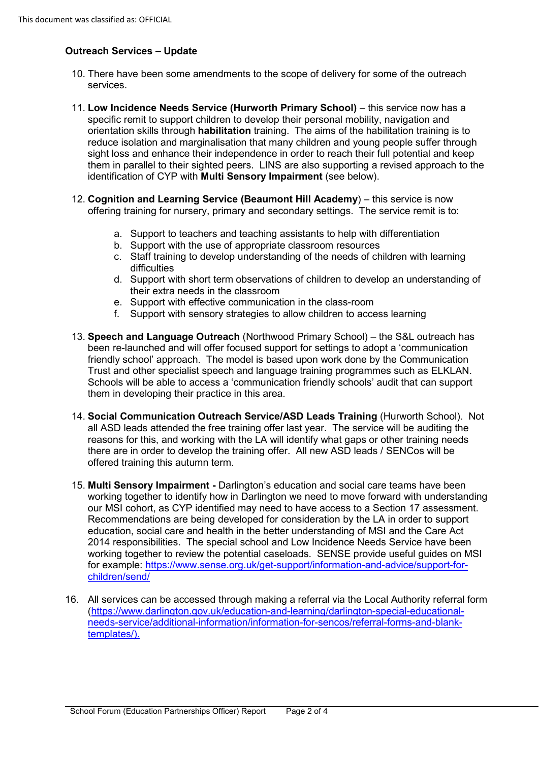## **Outreach Services – Update**

- 10. There have been some amendments to the scope of delivery for some of the outreach services.
- 11. **Low Incidence Needs Service (Hurworth Primary School)**  this service now has a orientation skills through **habilitation** training. The aims of the habilitation training is to reduce isolation and marginalisation that many children and young people suffer through sight loss and enhance their independence in order to reach their full potential and keep them in parallel to their sighted peers. LINS are also supporting a revised approach to the identification of CYP with Multi Sensory Impairment (see below). specific remit to support children to develop their personal mobility, navigation and
- offering training for nursery, primary and secondary settings. The service remit is to: 12. Cognition and Learning Service (Beaumont Hill Academy) – this service is now
	- a. Support to teachers and teaching assistants to help with differentiation
	- b. Support with the use of appropriate classroom resources
	- c. Staff training to develop understanding of the needs of children with learning difficulties
	- d. Support with short term observations of children to develop an understanding of their extra needs in the classroom
	- e. Support with effective communication in the class-room
	- f. Support with sensory strategies to allow children to access learning
- 13. **Speech and Language Outreach** (Northwood Primary School) the S&L outreach has friendly school' approach. The model is based upon work done by the Communication been re-launched and will offer focused support for settings to adopt a 'communication Trust and other specialist speech and language training programmes such as ELKLAN. Schools will be able to access a 'communication friendly schools' audit that can support them in developing their practice in this area.
- 14. **Social Communication Outreach Service/ASD Leads Training** (Hurworth School). Not all ASD leads attended the free training offer last year. The service will be auditing the there are in order to develop the training offer. All new ASD leads / SENCos will be offered training this autumn term. reasons for this, and working with the LA will identify what gaps or other training needs
- our MSI cohort, as CYP identified may need to have access to a Section 17 assessment. our MSI cohort, as CYP identified may need to have access to a Section 17 assessment.<br>Recommendations are being developed for consideration by the LA in order to support 2014 responsibilities. The special school and Low Incidence Needs Service have been working together to review the potential caseloads. SENSE provide useful guides on MSI 15. **Multi Sensory Impairment -** Darlington's education and social care teams have been working together to identify how in Darlington we need to move forward with understanding education, social care and health in the better understanding of MSI and the Care Act for example: [https://www.sense.org.uk/get-support/information-and-advice/support-for](https://www.sense.org.uk/get-support/information-and-advice/support-for-children/send/)[children/send/](https://www.sense.org.uk/get-support/information-and-advice/support-for-children/send/)
- 16. All services can be accessed through making a referral via the Local Authority referral form [\(https://www.darlington.gov.uk/education-and-learning/darlington-special-educational](https://www.darlington.gov.uk/education-and-learning/darlington-special-educational-needs-service/additional-information/information-for-sencos/referral-forms-and-blank-templates/).)[needs-service/additional-information/information-for-sencos/referral-forms-and-blank](https://www.darlington.gov.uk/education-and-learning/darlington-special-educational-needs-service/additional-information/information-for-sencos/referral-forms-and-blank-templates/).)[templates/\).](https://www.darlington.gov.uk/education-and-learning/darlington-special-educational-needs-service/additional-information/information-for-sencos/referral-forms-and-blank-templates/).)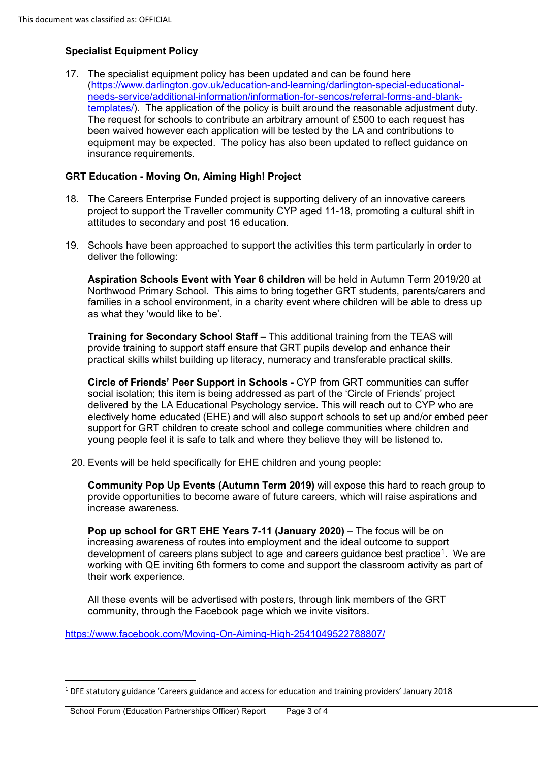## **Specialist Equipment Policy**

<u>templates/</u>). The application of the policy is built around the reasonable adjustment duty. equipment may be expected. The policy has also been updated to reflect guidance on 17. The specialist equipment policy has been updated and can be found here [\(https://www.darlington.gov.uk/education-and-learning/darlington-special-educational](https://www.darlington.gov.uk/education-and-learning/darlington-special-educational-needs-service/additional-information/information-for-sencos/referral-forms-and-blank-templates/)[needs-service/additional-information/information-for-sencos/referral-forms-and-blank-](https://www.darlington.gov.uk/education-and-learning/darlington-special-educational-needs-service/additional-information/information-for-sencos/referral-forms-and-blank-templates/)The request for schools to contribute an arbitrary amount of £500 to each request has been waived however each application will be tested by the LA and contributions to insurance requirements.

### **GRT Education - Moving On, Aiming High! Project**

- project to support the Traveller community CYP aged 11-18, promoting a cultural shift in 18. The Careers Enterprise Funded project is supporting delivery of an innovative careers attitudes to secondary and post 16 education.
- 19. Schools have been approached to support the activities this term particularly in order to deliver the following:

 Northwood Primary School. This aims to bring together GRT students, parents/carers and **Aspiration Schools Event with Year 6 children** will be held in Autumn Term 2019/20 at families in a school environment, in a charity event where children will be able to dress up as what they 'would like to be'.

 **Training for Secondary School Staff –** This additional training from the TEAS will provide training to support staff ensure that GRT pupils develop and enhance their practical skills whilst building up literacy, numeracy and transferable practical skills.

 **Circle of Friends' Peer Support in Schools -** CYP from GRT communities can suffer social isolation; this item is being addressed as part of the 'Circle of Friends' project support for GRT children to create school and college communities where children and delivered by the LA Educational Psychology service. This will reach out to CYP who are electively home educated (EHE) and will also support schools to set up and/or embed peer young people feel it is safe to talk and where they believe they will be listened to**.** 

20. Events will be held specifically for EHE children and young people:

 **Community Pop Up Events (Autumn Term 2019)** will expose this hard to reach group to provide opportunities to become aware of future careers, which will raise aspirations and increase awareness.

**Pop up school for GRT EHE Years 7-11 (January 2020)** – The focus will be on development of careers plans subject to age and careers guidance best practice<sup>[1](#page-2-0)</sup>. We are increasing awareness of routes into employment and the ideal outcome to support working with QE inviting 6th formers to come and support the classroom activity as part of their work experience.

community, through the Facebook page which we invite visitors. All these events will be advertised with posters, through link members of the GRT

https://www.facebook.com/Moving-On-Aiming-High-2541049522788807/

-

<span id="page-2-0"></span><sup>1</sup> DFE statutory guidance 'Careers guidance and access for education and training providers' January 2018